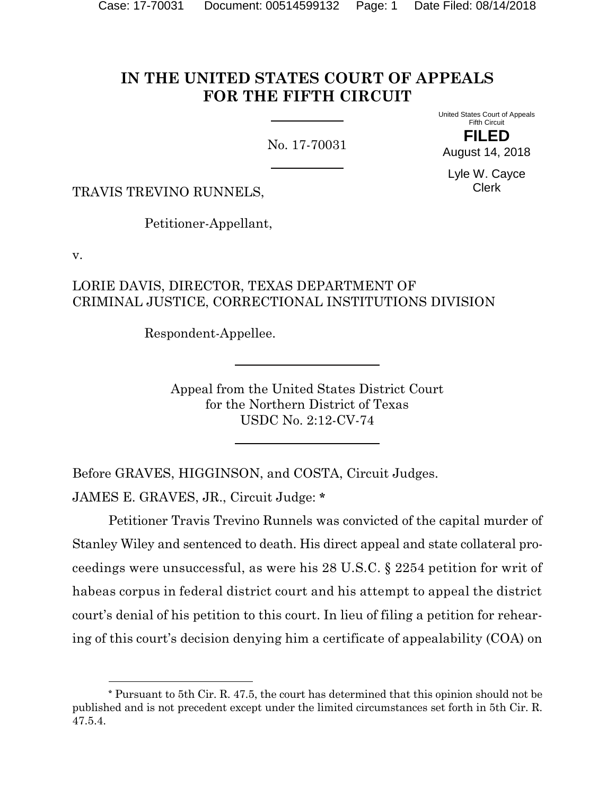# **IN THE UNITED STATES COURT OF APPEALS FOR THE FIFTH CIRCUIT**

No. 17-70031

United States Court of Appeals Fifth Circuit

**FILED** August 14, 2018

Lyle W. Cayce Clerk

TRAVIS TREVINO RUNNELS,

Petitioner-Appellant,

v.

 $\overline{a}$ 

### LORIE DAVIS, DIRECTOR, TEXAS DEPARTMENT OF CRIMINAL JUSTICE, CORRECTIONAL INSTITUTIONS DIVISION

Respondent-Appellee.

Appeal from the United States District Court for the Northern District of Texas USDC No. 2:12-CV-74

Before GRAVES, HIGGINSON, and COSTA, Circuit Judges. JAMES E. GRAVES, JR., Circuit Judge: **[\\*](#page-0-0)**

Petitioner Travis Trevino Runnels was convicted of the capital murder of Stanley Wiley and sentenced to death. His direct appeal and state collateral proceedings were unsuccessful, as were his 28 U.S.C. § 2254 petition for writ of habeas corpus in federal district court and his attempt to appeal the district court's denial of his petition to this court. In lieu of filing a petition for rehearing of this court's decision denying him a certificate of appealability (COA) on

<span id="page-0-0"></span>**<sup>\*</sup>** Pursuant to 5th Cir. R. 47.5, the court has determined that this opinion should not be published and is not precedent except under the limited circumstances set forth in 5th Cir. R. 47.5.4.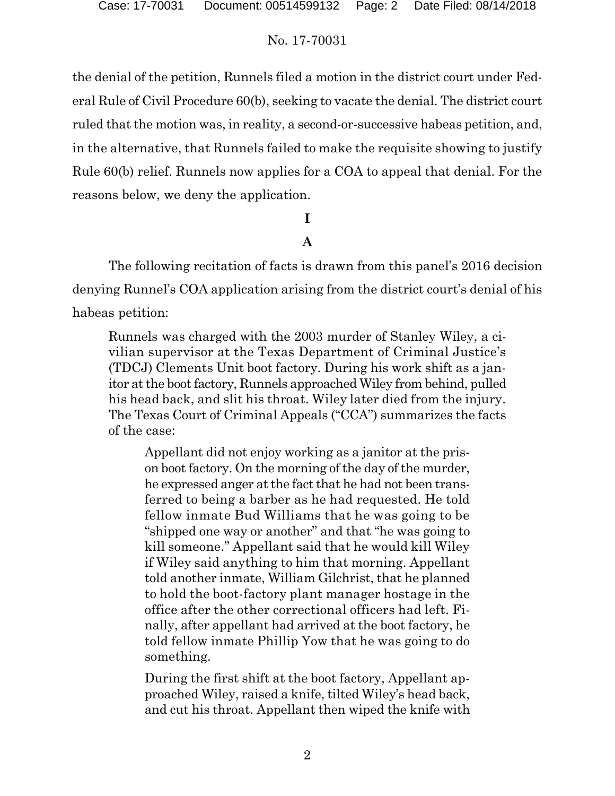the denial of the petition, Runnels filed a motion in the district court under Federal Rule of Civil Procedure 60(b), seeking to vacate the denial. The district court ruled that the motion was, in reality, a second-or-successive habeas petition, and, in the alternative, that Runnels failed to make the requisite showing to justify Rule 60(b) relief. Runnels now applies for a COA to appeal that denial. For the reasons below, we deny the application.

# **I**

# **A**

The following recitation of facts is drawn from this panel's 2016 decision denying Runnel's COA application arising from the district court's denial of his habeas petition:

Runnels was charged with the 2003 murder of Stanley Wiley, a civilian supervisor at the Texas Department of Criminal Justice's (TDCJ) Clements Unit boot factory. During his work shift as a janitor at the boot factory, Runnels approached Wiley from behind, pulled his head back, and slit his throat. Wiley later died from the injury. The Texas Court of Criminal Appeals ("CCA") summarizes the facts of the case:

Appellant did not enjoy working as a janitor at the prison boot factory. On the morning of the day of the murder, he expressed anger at the fact that he had not been transferred to being a barber as he had requested. He told fellow inmate Bud Williams that he was going to be "shipped one way or another" and that "he was going to kill someone." Appellant said that he would kill Wiley if Wiley said anything to him that morning. Appellant told another inmate, William Gilchrist, that he planned to hold the boot-factory plant manager hostage in the office after the other correctional officers had left. Finally, after appellant had arrived at the boot factory, he told fellow inmate Phillip Yow that he was going to do something.

During the first shift at the boot factory, Appellant approached Wiley, raised a knife, tilted Wiley's head back, and cut his throat. Appellant then wiped the knife with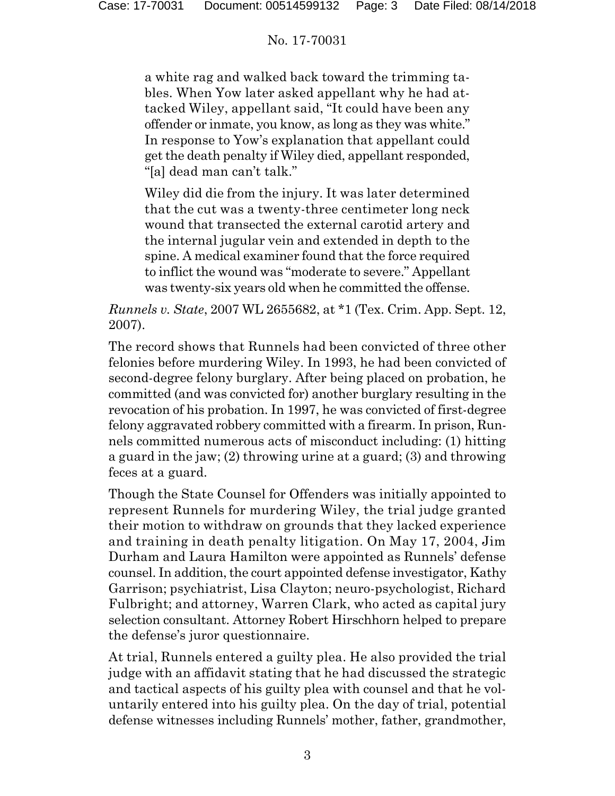a white rag and walked back toward the trimming tables. When Yow later asked appellant why he had attacked Wiley, appellant said, "It could have been any offender or inmate, you know, as long as they was white." In response to Yow's explanation that appellant could get the death penalty if Wiley died, appellant responded, "[a] dead man can't talk."

Wiley did die from the injury. It was later determined that the cut was a twenty-three centimeter long neck wound that transected the external carotid artery and the internal jugular vein and extended in depth to the spine. A medical examiner found that the force required to inflict the wound was "moderate to severe." Appellant was twenty-six years old when he committed the offense.

*Runnels v. State*, 2007 WL 2655682, at \*1 (Tex. Crim. App. Sept. 12, 2007).

The record shows that Runnels had been convicted of three other felonies before murdering Wiley. In 1993, he had been convicted of second-degree felony burglary. After being placed on probation, he committed (and was convicted for) another burglary resulting in the revocation of his probation. In 1997, he was convicted of first-degree felony aggravated robbery committed with a firearm. In prison, Runnels committed numerous acts of misconduct including: (1) hitting a guard in the jaw; (2) throwing urine at a guard; (3) and throwing feces at a guard.

Though the State Counsel for Offenders was initially appointed to represent Runnels for murdering Wiley, the trial judge granted their motion to withdraw on grounds that they lacked experience and training in death penalty litigation. On May 17, 2004, Jim Durham and Laura Hamilton were appointed as Runnels' defense counsel. In addition, the court appointed defense investigator, Kathy Garrison; psychiatrist, Lisa Clayton; neuro-psychologist, Richard Fulbright; and attorney, Warren Clark, who acted as capital jury selection consultant. Attorney Robert Hirschhorn helped to prepare the defense's juror questionnaire.

At trial, Runnels entered a guilty plea. He also provided the trial judge with an affidavit stating that he had discussed the strategic and tactical aspects of his guilty plea with counsel and that he voluntarily entered into his guilty plea. On the day of trial, potential defense witnesses including Runnels' mother, father, grandmother,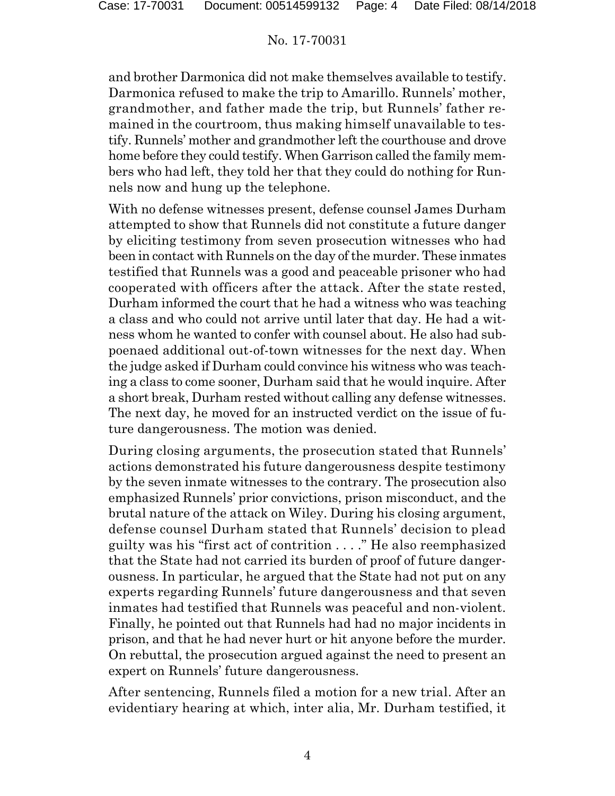and brother Darmonica did not make themselves available to testify. Darmonica refused to make the trip to Amarillo. Runnels' mother, grandmother, and father made the trip, but Runnels' father remained in the courtroom, thus making himself unavailable to testify. Runnels' mother and grandmother left the courthouse and drove home before they could testify. When Garrison called the family members who had left, they told her that they could do nothing for Runnels now and hung up the telephone.

With no defense witnesses present, defense counsel James Durham attempted to show that Runnels did not constitute a future danger by eliciting testimony from seven prosecution witnesses who had been in contact with Runnels on the day of the murder. These inmates testified that Runnels was a good and peaceable prisoner who had cooperated with officers after the attack. After the state rested, Durham informed the court that he had a witness who was teaching a class and who could not arrive until later that day. He had a witness whom he wanted to confer with counsel about. He also had subpoenaed additional out-of-town witnesses for the next day. When the judge asked if Durham could convince his witness who was teaching a class to come sooner, Durham said that he would inquire. After a short break, Durham rested without calling any defense witnesses. The next day, he moved for an instructed verdict on the issue of future dangerousness. The motion was denied.

During closing arguments, the prosecution stated that Runnels' actions demonstrated his future dangerousness despite testimony by the seven inmate witnesses to the contrary. The prosecution also emphasized Runnels' prior convictions, prison misconduct, and the brutal nature of the attack on Wiley. During his closing argument, defense counsel Durham stated that Runnels' decision to plead guilty was his "first act of contrition . . . ." He also reemphasized that the State had not carried its burden of proof of future dangerousness. In particular, he argued that the State had not put on any experts regarding Runnels' future dangerousness and that seven inmates had testified that Runnels was peaceful and non-violent. Finally, he pointed out that Runnels had had no major incidents in prison, and that he had never hurt or hit anyone before the murder. On rebuttal, the prosecution argued against the need to present an expert on Runnels' future dangerousness.

After sentencing, Runnels filed a motion for a new trial. After an evidentiary hearing at which, inter alia, Mr. Durham testified, it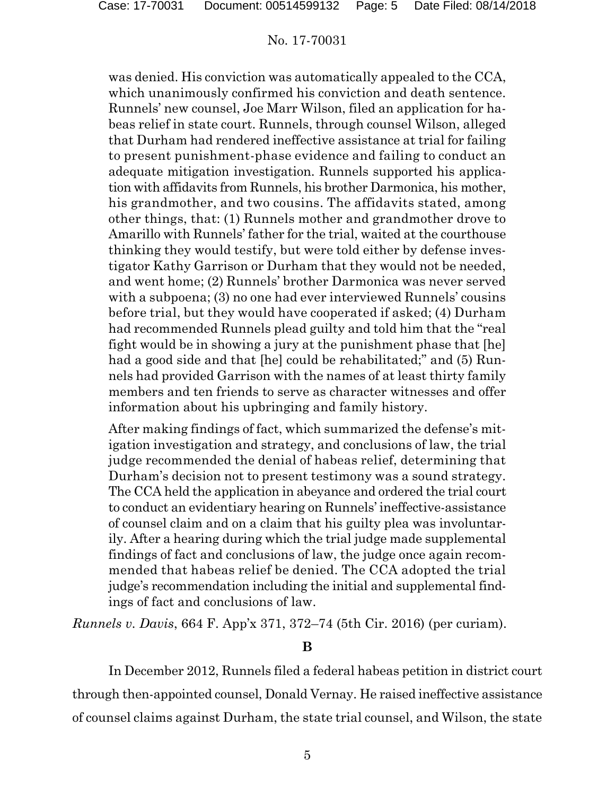was denied. His conviction was automatically appealed to the CCA, which unanimously confirmed his conviction and death sentence. Runnels' new counsel, Joe Marr Wilson, filed an application for habeas relief in state court. Runnels, through counsel Wilson, alleged that Durham had rendered ineffective assistance at trial for failing to present punishment-phase evidence and failing to conduct an adequate mitigation investigation. Runnels supported his application with affidavits from Runnels, his brother Darmonica, his mother, his grandmother, and two cousins. The affidavits stated, among other things, that: (1) Runnels mother and grandmother drove to Amarillo with Runnels' father for the trial, waited at the courthouse thinking they would testify, but were told either by defense investigator Kathy Garrison or Durham that they would not be needed, and went home; (2) Runnels' brother Darmonica was never served with a subpoena; (3) no one had ever interviewed Runnels' cousins before trial, but they would have cooperated if asked; (4) Durham had recommended Runnels plead guilty and told him that the "real fight would be in showing a jury at the punishment phase that [he] had a good side and that [he] could be rehabilitated;" and (5) Runnels had provided Garrison with the names of at least thirty family members and ten friends to serve as character witnesses and offer information about his upbringing and family history.

After making findings of fact, which summarized the defense's mitigation investigation and strategy, and conclusions of law, the trial judge recommended the denial of habeas relief, determining that Durham's decision not to present testimony was a sound strategy. The CCA held the application in abeyance and ordered the trial court to conduct an evidentiary hearing on Runnels' ineffective-assistance of counsel claim and on a claim that his guilty plea was involuntarily. After a hearing during which the trial judge made supplemental findings of fact and conclusions of law, the judge once again recommended that habeas relief be denied. The CCA adopted the trial judge's recommendation including the initial and supplemental findings of fact and conclusions of law.

*Runnels v. Davis*, 664 F. App'x 371, 372–74 (5th Cir. 2016) (per curiam).

# **B**

In December 2012, Runnels filed a federal habeas petition in district court through then-appointed counsel, Donald Vernay. He raised ineffective assistance of counsel claims against Durham, the state trial counsel, and Wilson, the state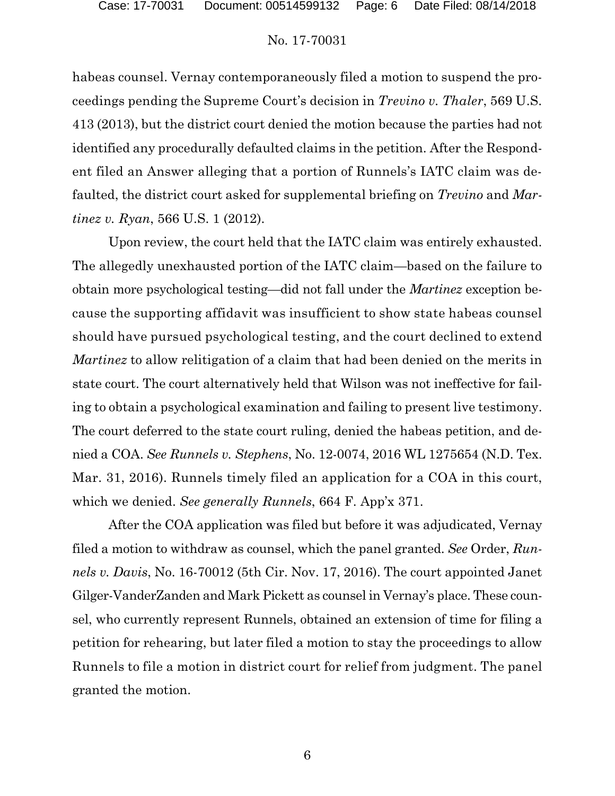habeas counsel. Vernay contemporaneously filed a motion to suspend the proceedings pending the Supreme Court's decision in *Trevino v. Thaler*, 569 U.S. 413 (2013), but the district court denied the motion because the parties had not identified any procedurally defaulted claims in the petition. After the Respondent filed an Answer alleging that a portion of Runnels's IATC claim was defaulted, the district court asked for supplemental briefing on *Trevino* and *Martinez v. Ryan*, 566 U.S. 1 (2012).

Upon review, the court held that the IATC claim was entirely exhausted. The allegedly unexhausted portion of the IATC claim—based on the failure to obtain more psychological testing—did not fall under the *Martinez* exception because the supporting affidavit was insufficient to show state habeas counsel should have pursued psychological testing, and the court declined to extend *Martinez* to allow relitigation of a claim that had been denied on the merits in state court. The court alternatively held that Wilson was not ineffective for failing to obtain a psychological examination and failing to present live testimony. The court deferred to the state court ruling, denied the habeas petition, and denied a COA. *See Runnels v. Stephens*, No. 12-0074, 2016 WL 1275654 (N.D. Tex. Mar. 31, 2016). Runnels timely filed an application for a COA in this court, which we denied. *See generally Runnels*, 664 F. App'x 371.

After the COA application was filed but before it was adjudicated, Vernay filed a motion to withdraw as counsel, which the panel granted. *See* Order, *Runnels v. Davis*, No. 16-70012 (5th Cir. Nov. 17, 2016). The court appointed Janet Gilger-VanderZanden and Mark Pickett as counsel in Vernay's place. These counsel, who currently represent Runnels, obtained an extension of time for filing a petition for rehearing, but later filed a motion to stay the proceedings to allow Runnels to file a motion in district court for relief from judgment. The panel granted the motion.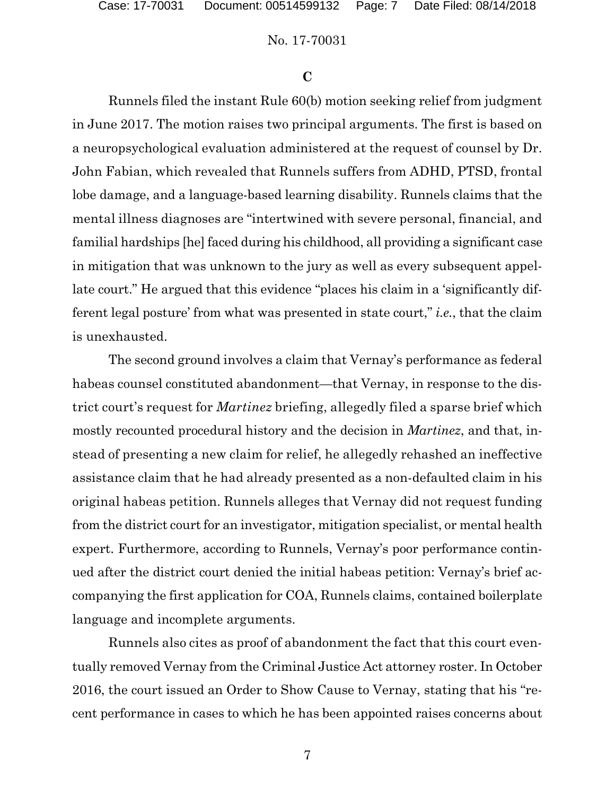#### **C**

Runnels filed the instant Rule 60(b) motion seeking relief from judgment in June 2017. The motion raises two principal arguments. The first is based on a neuropsychological evaluation administered at the request of counsel by Dr. John Fabian, which revealed that Runnels suffers from ADHD, PTSD, frontal lobe damage, and a language-based learning disability. Runnels claims that the mental illness diagnoses are "intertwined with severe personal, financial, and familial hardships [he] faced during his childhood, all providing a significant case in mitigation that was unknown to the jury as well as every subsequent appellate court." He argued that this evidence "places his claim in a 'significantly different legal posture' from what was presented in state court," *i.e.*, that the claim is unexhausted.

The second ground involves a claim that Vernay's performance as federal habeas counsel constituted abandonment—that Vernay, in response to the district court's request for *Martinez* briefing, allegedly filed a sparse brief which mostly recounted procedural history and the decision in *Martinez*, and that, instead of presenting a new claim for relief, he allegedly rehashed an ineffective assistance claim that he had already presented as a non-defaulted claim in his original habeas petition. Runnels alleges that Vernay did not request funding from the district court for an investigator, mitigation specialist, or mental health expert. Furthermore, according to Runnels, Vernay's poor performance continued after the district court denied the initial habeas petition: Vernay's brief accompanying the first application for COA, Runnels claims, contained boilerplate language and incomplete arguments.

Runnels also cites as proof of abandonment the fact that this court eventually removed Vernay from the Criminal Justice Act attorney roster. In October 2016, the court issued an Order to Show Cause to Vernay, stating that his "recent performance in cases to which he has been appointed raises concerns about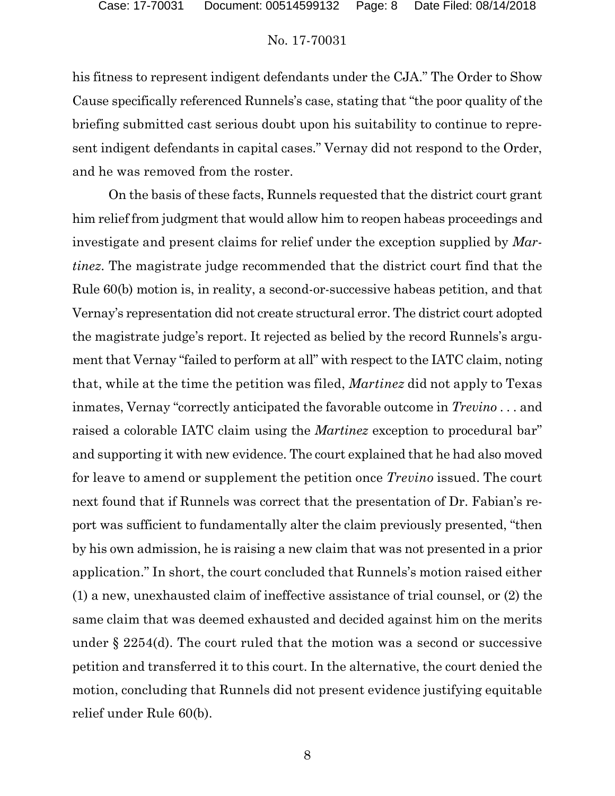his fitness to represent indigent defendants under the CJA." The Order to Show Cause specifically referenced Runnels's case, stating that "the poor quality of the briefing submitted cast serious doubt upon his suitability to continue to represent indigent defendants in capital cases." Vernay did not respond to the Order, and he was removed from the roster.

On the basis of these facts, Runnels requested that the district court grant him relief from judgment that would allow him to reopen habeas proceedings and investigate and present claims for relief under the exception supplied by *Martinez*. The magistrate judge recommended that the district court find that the Rule 60(b) motion is, in reality, a second-or-successive habeas petition, and that Vernay's representation did not create structural error. The district court adopted the magistrate judge's report. It rejected as belied by the record Runnels's argument that Vernay "failed to perform at all" with respect to the IATC claim, noting that, while at the time the petition was filed, *Martinez* did not apply to Texas inmates, Vernay "correctly anticipated the favorable outcome in *Trevino* . . . and raised a colorable IATC claim using the *Martinez* exception to procedural bar" and supporting it with new evidence. The court explained that he had also moved for leave to amend or supplement the petition once *Trevino* issued. The court next found that if Runnels was correct that the presentation of Dr. Fabian's report was sufficient to fundamentally alter the claim previously presented, "then by his own admission, he is raising a new claim that was not presented in a prior application." In short, the court concluded that Runnels's motion raised either (1) a new, unexhausted claim of ineffective assistance of trial counsel, or (2) the same claim that was deemed exhausted and decided against him on the merits under § 2254(d). The court ruled that the motion was a second or successive petition and transferred it to this court. In the alternative, the court denied the motion, concluding that Runnels did not present evidence justifying equitable relief under Rule 60(b).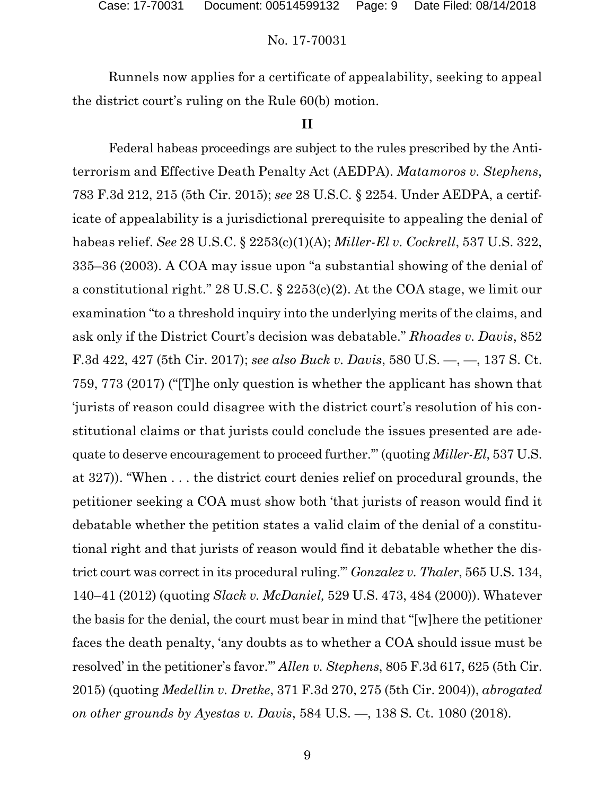Runnels now applies for a certificate of appealability, seeking to appeal the district court's ruling on the Rule 60(b) motion.

### **II**

Federal habeas proceedings are subject to the rules prescribed by the Antiterrorism and Effective Death Penalty Act (AEDPA). *Matamoros v. Stephens*, 783 F.3d 212, 215 (5th Cir. 2015); *see* 28 U.S.C. § 2254. Under AEDPA, a certificate of appealability is a jurisdictional prerequisite to appealing the denial of habeas relief. *See* 28 U.S.C. § 2253(c)(1)(A); *Miller-El v. Cockrell*, 537 U.S. 322, 335–36 (2003). A COA may issue upon "a substantial showing of the denial of a constitutional right." 28 U.S.C. § 2253(c)(2). At the COA stage, we limit our examination "to a threshold inquiry into the underlying merits of the claims, and ask only if the District Court's decision was debatable." *Rhoades v. Davis*, 852 F.3d 422, 427 (5th Cir. 2017); *see also Buck v. Davis*, 580 U.S. —, —, 137 S. Ct. 759, 773 (2017) ("[T]he only question is whether the applicant has shown that 'jurists of reason could disagree with the district court's resolution of his constitutional claims or that jurists could conclude the issues presented are adequate to deserve encouragement to proceed further.'" (quoting *Miller-El*, 537 U.S. at 327)). "When . . . the district court denies relief on procedural grounds, the petitioner seeking a COA must show both 'that jurists of reason would find it debatable whether the petition states a valid claim of the denial of a constitutional right and that jurists of reason would find it debatable whether the district court was correct in its procedural ruling.'" *Gonzalez v. Thaler*, 565 U.S. 134, 140–41 (2012) (quoting *Slack v. McDaniel,* 529 U.S. 473, 484 (2000)). Whatever the basis for the denial, the court must bear in mind that "[w]here the petitioner faces the death penalty, 'any doubts as to whether a COA should issue must be resolved' in the petitioner's favor.'" *Allen v. Stephens*, 805 F.3d 617, 625 (5th Cir. 2015) (quoting *Medellin v. Dretke*, 371 F.3d 270, 275 (5th Cir. 2004)), *abrogated on other grounds by Ayestas v. Davis*, 584 U.S. —, 138 S. Ct. 1080 (2018).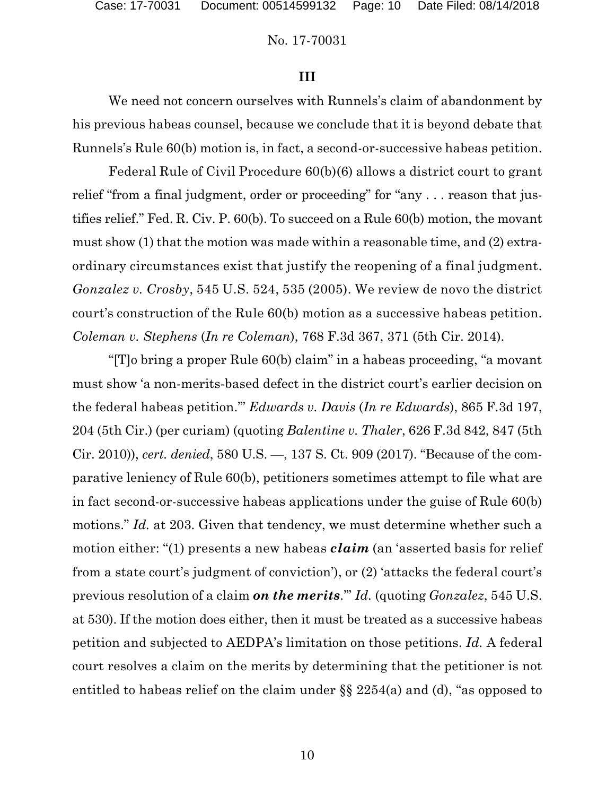### **III**

We need not concern ourselves with Runnels's claim of abandonment by his previous habeas counsel, because we conclude that it is beyond debate that Runnels's Rule 60(b) motion is, in fact, a second-or-successive habeas petition.

Federal Rule of Civil Procedure 60(b)(6) allows a district court to grant relief "from a final judgment, order or proceeding" for "any . . . reason that justifies relief." Fed. R. Civ. P. 60(b). To succeed on a Rule 60(b) motion, the movant must show (1) that the motion was made within a reasonable time, and (2) extraordinary circumstances exist that justify the reopening of a final judgment. *Gonzalez v. Crosby*, 545 U.S. 524, 535 (2005). We review de novo the district court's construction of the Rule 60(b) motion as a successive habeas petition. *Coleman v. Stephens* (*In re Coleman*), 768 F.3d 367, 371 (5th Cir. 2014).

"[T]o bring a proper Rule 60(b) claim" in a habeas proceeding, "a movant must show 'a non-merits-based defect in the district court's earlier decision on the federal habeas petition.'" *Edwards v. Davis* (*In re Edwards*), 865 F.3d 197, 204 (5th Cir.) (per curiam) (quoting *Balentine v. Thaler*, 626 F.3d 842, 847 (5th Cir. 2010)), *cert. denied*, 580 U.S. —, 137 S. Ct. 909 (2017). "Because of the comparative leniency of Rule 60(b), petitioners sometimes attempt to file what are in fact second-or-successive habeas applications under the guise of Rule 60(b) motions." *Id.* at 203. Given that tendency, we must determine whether such a motion either: "(1) presents a new habeas *claim* (an 'asserted basis for relief from a state court's judgment of conviction'), or (2) 'attacks the federal court's previous resolution of a claim *on the merits*.'" *Id.* (quoting *Gonzalez*, 545 U.S. at 530). If the motion does either, then it must be treated as a successive habeas petition and subjected to AEDPA's limitation on those petitions. *Id.* A federal court resolves a claim on the merits by determining that the petitioner is not entitled to habeas relief on the claim under §§ 2254(a) and (d), "as opposed to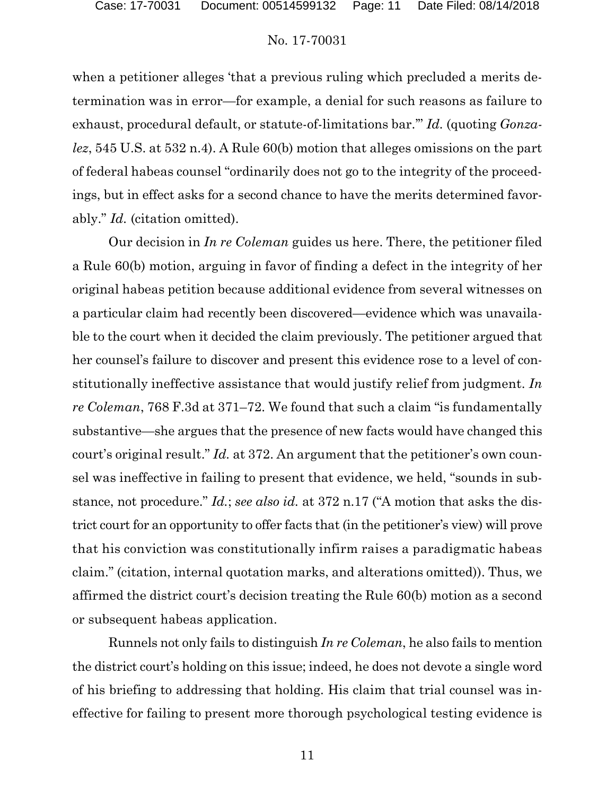when a petitioner alleges 'that a previous ruling which precluded a merits determination was in error—for example, a denial for such reasons as failure to exhaust, procedural default, or statute-of-limitations bar.'" *Id.* (quoting *Gonzalez*, 545 U.S. at 532 n.4). A Rule 60(b) motion that alleges omissions on the part of federal habeas counsel "ordinarily does not go to the integrity of the proceedings, but in effect asks for a second chance to have the merits determined favorably." *Id.* (citation omitted).

Our decision in *In re Coleman* guides us here. There, the petitioner filed a Rule 60(b) motion, arguing in favor of finding a defect in the integrity of her original habeas petition because additional evidence from several witnesses on a particular claim had recently been discovered—evidence which was unavailable to the court when it decided the claim previously. The petitioner argued that her counsel's failure to discover and present this evidence rose to a level of constitutionally ineffective assistance that would justify relief from judgment. *In re Coleman*, 768 F.3d at 371–72. We found that such a claim "is fundamentally substantive—she argues that the presence of new facts would have changed this court's original result." *Id.* at 372. An argument that the petitioner's own counsel was ineffective in failing to present that evidence, we held, "sounds in substance, not procedure." *Id.*; *see also id.* at 372 n.17 ("A motion that asks the district court for an opportunity to offer facts that (in the petitioner's view) will prove that his conviction was constitutionally infirm raises a paradigmatic habeas claim." (citation, internal quotation marks, and alterations omitted)). Thus, we affirmed the district court's decision treating the Rule 60(b) motion as a second or subsequent habeas application.

Runnels not only fails to distinguish *In re Coleman*, he also fails to mention the district court's holding on this issue; indeed, he does not devote a single word of his briefing to addressing that holding. His claim that trial counsel was ineffective for failing to present more thorough psychological testing evidence is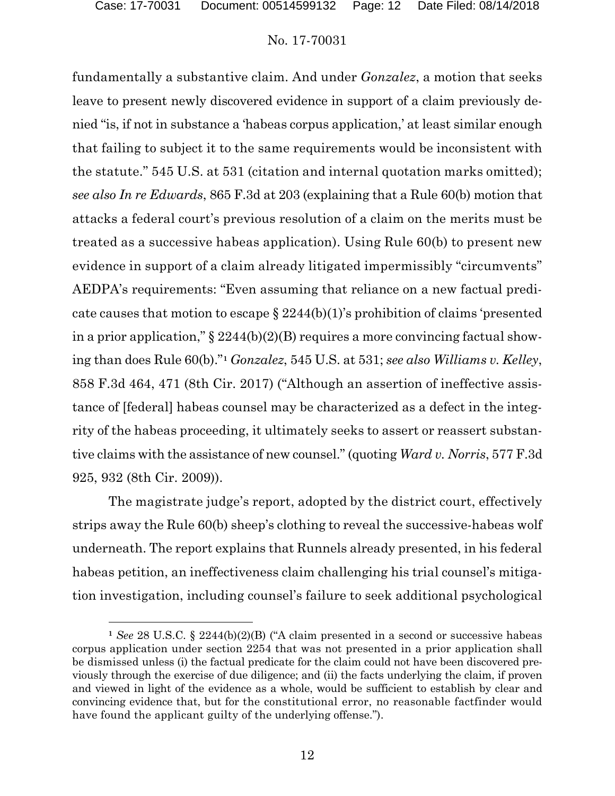$\overline{a}$ 

### No. 17-70031

fundamentally a substantive claim. And under *Gonzalez*, a motion that seeks leave to present newly discovered evidence in support of a claim previously denied "is, if not in substance a 'habeas corpus application,' at least similar enough that failing to subject it to the same requirements would be inconsistent with the statute." 545 U.S. at 531 (citation and internal quotation marks omitted); *see also In re Edwards*, 865 F.3d at 203 (explaining that a Rule 60(b) motion that attacks a federal court's previous resolution of a claim on the merits must be treated as a successive habeas application). Using Rule 60(b) to present new evidence in support of a claim already litigated impermissibly "circumvents" AEDPA's requirements: "Even assuming that reliance on a new factual predicate causes that motion to escape  $\S 2244(b)(1)$ 's prohibition of claims 'presented in a prior application,"  $\S 2244(b)(2)(B)$  requires a more convincing factual showing than does Rule 60(b)."**[1](#page-11-0)** *Gonzalez*, 545 U.S. at 531; *see also Williams v. Kelley*, 858 F.3d 464, 471 (8th Cir. 2017) ("Although an assertion of ineffective assistance of [federal] habeas counsel may be characterized as a defect in the integrity of the habeas proceeding, it ultimately seeks to assert or reassert substantive claims with the assistance of new counsel." (quoting *Ward v. Norris*, 577 F.3d 925, 932 (8th Cir. 2009)).

The magistrate judge's report, adopted by the district court, effectively strips away the Rule 60(b) sheep's clothing to reveal the successive-habeas wolf underneath. The report explains that Runnels already presented, in his federal habeas petition, an ineffectiveness claim challenging his trial counsel's mitigation investigation, including counsel's failure to seek additional psychological

<span id="page-11-0"></span>**<sup>1</sup>** *See* 28 U.S.C. § 2244(b)(2)(B) ("A claim presented in a second or successive habeas corpus application under section 2254 that was not presented in a prior application shall be dismissed unless (i) the factual predicate for the claim could not have been discovered previously through the exercise of due diligence; and (ii) the facts underlying the claim, if proven and viewed in light of the evidence as a whole, would be sufficient to establish by clear and convincing evidence that, but for the constitutional error, no reasonable factfinder would have found the applicant guilty of the underlying offense.").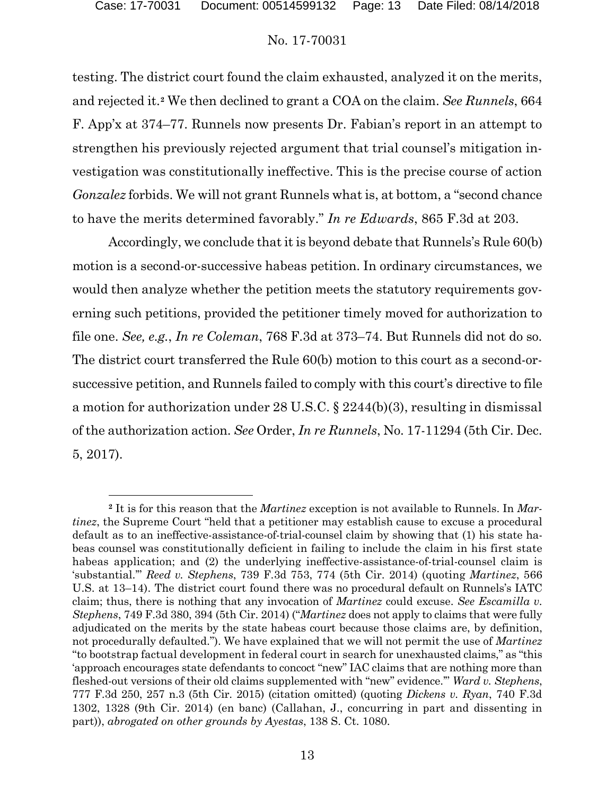$\overline{a}$ 

# No. 17-70031

testing. The district court found the claim exhausted, analyzed it on the merits, and rejected it.**[2](#page-12-0)** We then declined to grant a COA on the claim. *See Runnels*, 664 F. App'x at 374–77. Runnels now presents Dr. Fabian's report in an attempt to strengthen his previously rejected argument that trial counsel's mitigation investigation was constitutionally ineffective. This is the precise course of action *Gonzalez* forbids. We will not grant Runnels what is, at bottom, a "second chance to have the merits determined favorably." *In re Edwards*, 865 F.3d at 203.

Accordingly, we conclude that it is beyond debate that Runnels's Rule 60(b) motion is a second-or-successive habeas petition. In ordinary circumstances, we would then analyze whether the petition meets the statutory requirements governing such petitions, provided the petitioner timely moved for authorization to file one. *See, e.g.*, *In re Coleman*, 768 F.3d at 373–74. But Runnels did not do so. The district court transferred the Rule 60(b) motion to this court as a second-orsuccessive petition, and Runnels failed to comply with this court's directive to file a motion for authorization under 28 U.S.C. § 2244(b)(3), resulting in dismissal of the authorization action. *See* Order, *In re Runnels*, No. 17-11294 (5th Cir. Dec. 5, 2017).

<span id="page-12-0"></span>**<sup>2</sup>** It is for this reason that the *Martinez* exception is not available to Runnels. In *Martinez*, the Supreme Court "held that a petitioner may establish cause to excuse a procedural default as to an ineffective-assistance-of-trial-counsel claim by showing that (1) his state habeas counsel was constitutionally deficient in failing to include the claim in his first state habeas application; and (2) the underlying ineffective-assistance-of-trial-counsel claim is 'substantial.'" *Reed v. Stephens*, 739 F.3d 753, 774 (5th Cir. 2014) (quoting *Martinez*, 566 U.S. at 13–14). The district court found there was no procedural default on Runnels's IATC claim; thus, there is nothing that any invocation of *Martinez* could excuse. *See Escamilla v. Stephens*, 749 F.3d 380, 394 (5th Cir. 2014) ("*Martinez* does not apply to claims that were fully adjudicated on the merits by the state habeas court because those claims are, by definition, not procedurally defaulted."). We have explained that we will not permit the use of *Martinez*  "to bootstrap factual development in federal court in search for unexhausted claims," as "this 'approach encourages state defendants to concoct "new" IAC claims that are nothing more than fleshed-out versions of their old claims supplemented with "new" evidence.'" *Ward v. Stephens*, 777 F.3d 250, 257 n.3 (5th Cir. 2015) (citation omitted) (quoting *Dickens v. Ryan*, 740 F.3d 1302, 1328 (9th Cir. 2014) (en banc) (Callahan, J., concurring in part and dissenting in part)), *abrogated on other grounds by Ayestas*, 138 S. Ct. 1080.